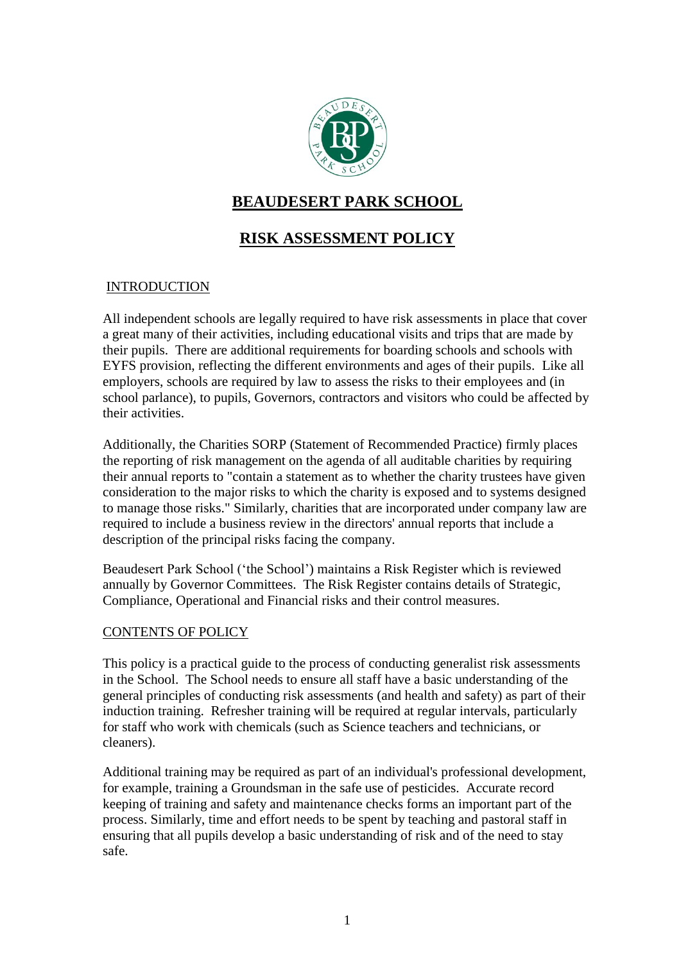

# **BEAUDESERT PARK SCHOOL**

# **RISK ASSESSMENT POLICY**

# **INTRODUCTION**

All independent schools are legally required to have risk assessments in place that cover a great many of their activities, including educational visits and trips that are made by their pupils. There are additional requirements for boarding schools and schools with EYFS provision, reflecting the different environments and ages of their pupils. Like all employers, schools are required by law to assess the risks to their employees and (in school parlance), to pupils, Governors, contractors and visitors who could be affected by their activities.

Additionally, the Charities SORP (Statement of Recommended Practice) firmly places the reporting of risk management on the agenda of all auditable charities by requiring their annual reports to "contain a statement as to whether the charity trustees have given consideration to the major risks to which the charity is exposed and to systems designed to manage those risks." Similarly, charities that are incorporated under company law are required to include a business review in the directors' annual reports that include a description of the principal risks facing the company.

Beaudesert Park School ('the School') maintains a Risk Register which is reviewed annually by Governor Committees. The Risk Register contains details of Strategic, Compliance, Operational and Financial risks and their control measures.

# CONTENTS OF POLICY

This policy is a practical guide to the process of conducting generalist risk assessments in the School. The School needs to ensure all staff have a basic understanding of the general principles of conducting risk assessments (and health and safety) as part of their induction training. Refresher training will be required at regular intervals, particularly for staff who work with chemicals (such as Science teachers and technicians, or cleaners).

Additional training may be required as part of an individual's professional development, for example, training a Groundsman in the safe use of pesticides. Accurate record keeping of training and safety and maintenance checks forms an important part of the process. Similarly, time and effort needs to be spent by teaching and pastoral staff in ensuring that all pupils develop a basic understanding of risk and of the need to stay safe.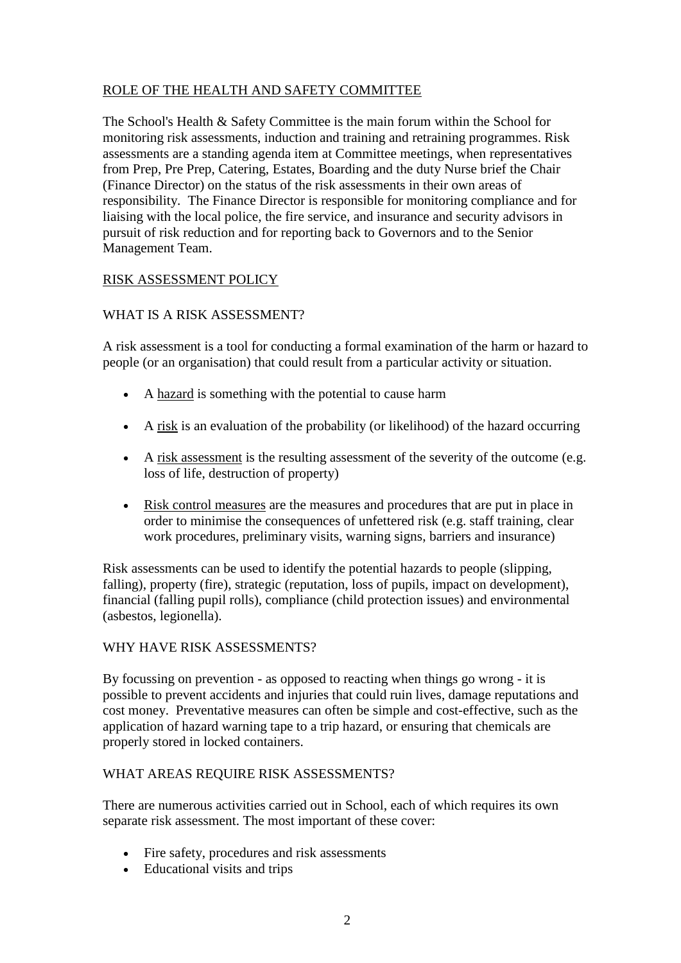# ROLE OF THE HEALTH AND SAFETY COMMITTEE

The School's Health & Safety Committee is the main forum within the School for monitoring risk assessments, induction and training and retraining programmes. Risk assessments are a standing agenda item at Committee meetings, when representatives from Prep, Pre Prep, Catering, Estates, Boarding and the duty Nurse brief the Chair (Finance Director) on the status of the risk assessments in their own areas of responsibility. The Finance Director is responsible for monitoring compliance and for liaising with the local police, the fire service, and insurance and security advisors in pursuit of risk reduction and for reporting back to Governors and to the Senior Management Team.

# RISK ASSESSMENT POLICY

# WHAT IS A RISK ASSESSMENT?

A risk assessment is a tool for conducting a formal examination of the harm or hazard to people (or an organisation) that could result from a particular activity or situation.

- A hazard is something with the potential to cause harm
- A risk is an evaluation of the probability (or likelihood) of the hazard occurring
- A risk assessment is the resulting assessment of the severity of the outcome (e.g. loss of life, destruction of property)
- Risk control measures are the measures and procedures that are put in place in order to minimise the consequences of unfettered risk (e.g. staff training, clear work procedures, preliminary visits, warning signs, barriers and insurance)

Risk assessments can be used to identify the potential hazards to people (slipping, falling), property (fire), strategic (reputation, loss of pupils, impact on development), financial (falling pupil rolls), compliance (child protection issues) and environmental (asbestos, legionella).

# WHY HAVE RISK ASSESSMENTS?

By focussing on prevention - as opposed to reacting when things go wrong - it is possible to prevent accidents and injuries that could ruin lives, damage reputations and cost money. Preventative measures can often be simple and cost-effective, such as the application of hazard warning tape to a trip hazard, or ensuring that chemicals are properly stored in locked containers.

# WHAT AREAS REQUIRE RISK ASSESSMENTS?

There are numerous activities carried out in School, each of which requires its own separate risk assessment. The most important of these cover:

- Fire safety, procedures and risk assessments
- Educational visits and trips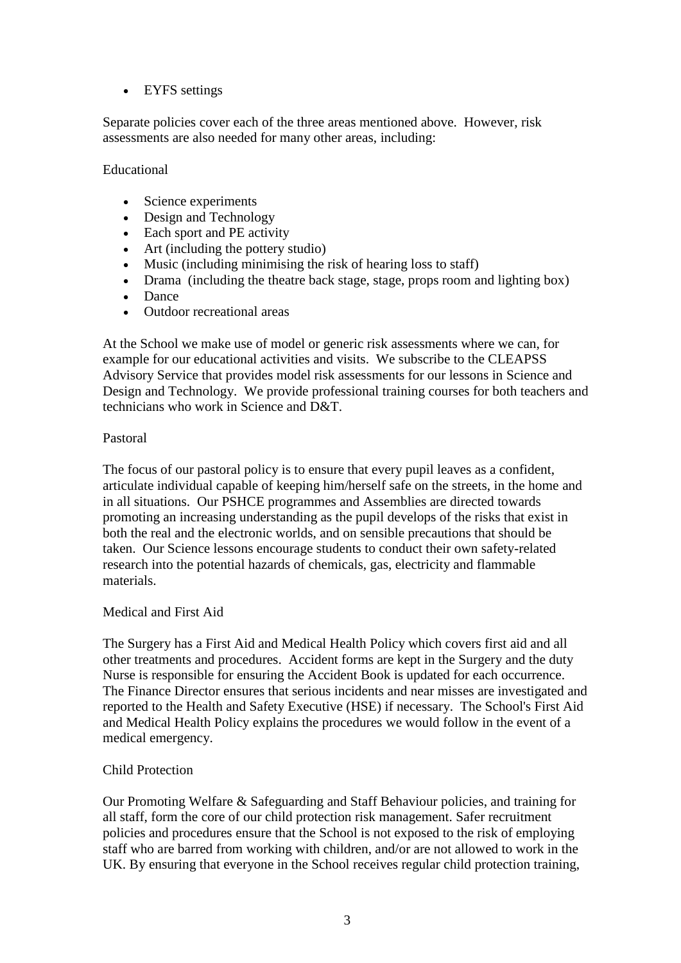# • EYFS settings

Separate policies cover each of the three areas mentioned above. However, risk assessments are also needed for many other areas, including:

#### Educational

- Science experiments
- Design and Technology
- Each sport and PE activity
- Art (including the pottery studio)
- Music (including minimising the risk of hearing loss to staff)
- Drama (including the theatre back stage, stage, props room and lighting box)
- Dance
- Outdoor recreational areas

At the School we make use of model or generic risk assessments where we can, for example for our educational activities and visits. We subscribe to the CLEAPSS Advisory Service that provides model risk assessments for our lessons in Science and Design and Technology. We provide professional training courses for both teachers and technicians who work in Science and D&T.

#### Pastoral

The focus of our pastoral policy is to ensure that every pupil leaves as a confident, articulate individual capable of keeping him/herself safe on the streets, in the home and in all situations. Our PSHCE programmes and Assemblies are directed towards promoting an increasing understanding as the pupil develops of the risks that exist in both the real and the electronic worlds, and on sensible precautions that should be taken. Our Science lessons encourage students to conduct their own safety-related research into the potential hazards of chemicals, gas, electricity and flammable materials.

#### Medical and First Aid

The Surgery has a First Aid and Medical Health Policy which covers first aid and all other treatments and procedures. Accident forms are kept in the Surgery and the duty Nurse is responsible for ensuring the Accident Book is updated for each occurrence. The Finance Director ensures that serious incidents and near misses are investigated and reported to the Health and Safety Executive (HSE) if necessary. The School's First Aid and Medical Health Policy explains the procedures we would follow in the event of a medical emergency.

#### Child Protection

Our Promoting Welfare & Safeguarding and Staff Behaviour policies, and training for all staff, form the core of our child protection risk management. Safer recruitment policies and procedures ensure that the School is not exposed to the risk of employing staff who are barred from working with children, and/or are not allowed to work in the UK. By ensuring that everyone in the School receives regular child protection training,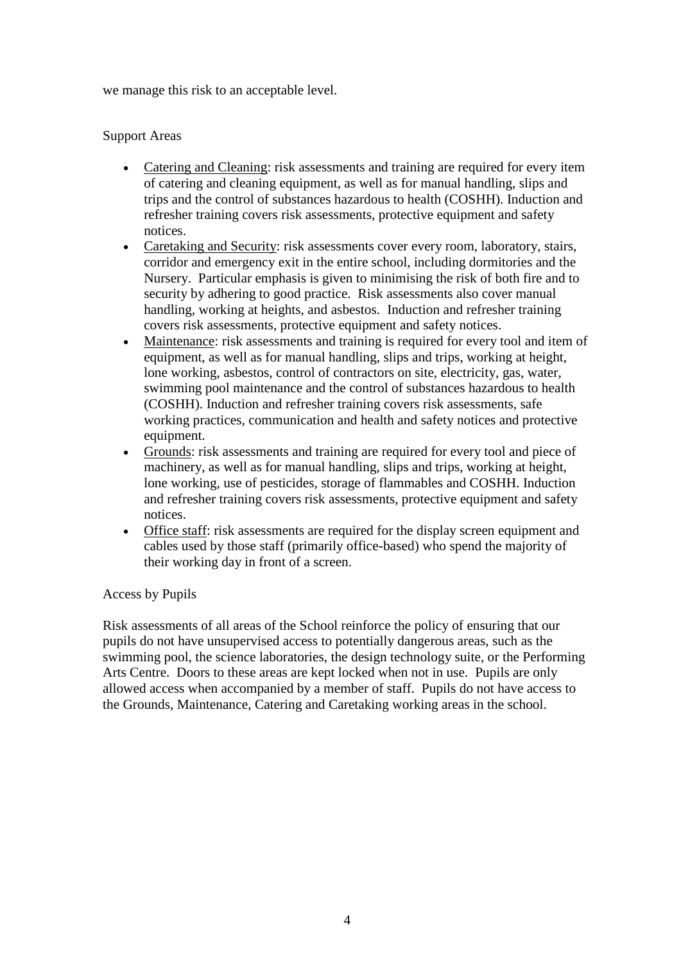we manage this risk to an acceptable level.

### Support Areas

- Catering and Cleaning: risk assessments and training are required for every item of catering and cleaning equipment, as well as for manual handling, slips and trips and the control of substances hazardous to health (COSHH). Induction and refresher training covers risk assessments, protective equipment and safety notices.
- Caretaking and Security: risk assessments cover every room, laboratory, stairs, corridor and emergency exit in the entire school, including dormitories and the Nursery. Particular emphasis is given to minimising the risk of both fire and to security by adhering to good practice. Risk assessments also cover manual handling, working at heights, and asbestos. Induction and refresher training covers risk assessments, protective equipment and safety notices.
- Maintenance: risk assessments and training is required for every tool and item of equipment, as well as for manual handling, slips and trips, working at height, lone working, asbestos, control of contractors on site, electricity, gas, water, swimming pool maintenance and the control of substances hazardous to health (COSHH). Induction and refresher training covers risk assessments, safe working practices, communication and health and safety notices and protective equipment.
- Grounds: risk assessments and training are required for every tool and piece of machinery, as well as for manual handling, slips and trips, working at height, lone working, use of pesticides, storage of flammables and COSHH. Induction and refresher training covers risk assessments, protective equipment and safety notices.
- Office staff: risk assessments are required for the display screen equipment and cables used by those staff (primarily office-based) who spend the majority of their working day in front of a screen.

#### Access by Pupils

Risk assessments of all areas of the School reinforce the policy of ensuring that our pupils do not have unsupervised access to potentially dangerous areas, such as the swimming pool, the science laboratories, the design technology suite, or the Performing Arts Centre. Doors to these areas are kept locked when not in use. Pupils are only allowed access when accompanied by a member of staff. Pupils do not have access to the Grounds, Maintenance, Catering and Caretaking working areas in the school.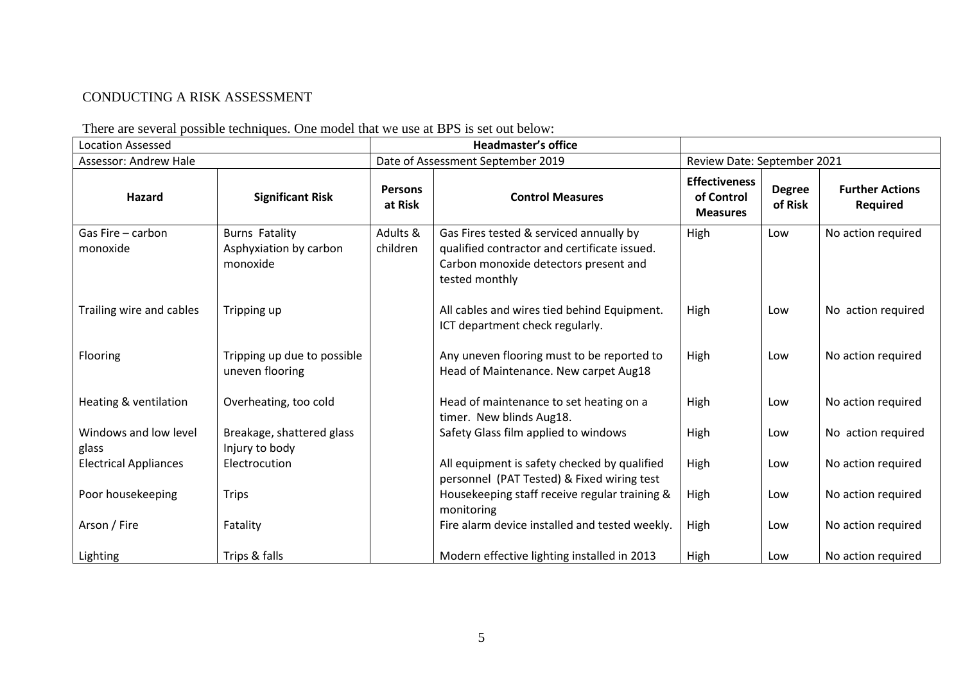# CONDUCTING A RISK ASSESSMENT

| <b>Location Assessed</b>       |                                                             | <b>Headmaster's office</b>        |                                                                                                                                                    |                                                       |                          |                                           |
|--------------------------------|-------------------------------------------------------------|-----------------------------------|----------------------------------------------------------------------------------------------------------------------------------------------------|-------------------------------------------------------|--------------------------|-------------------------------------------|
| Assessor: Andrew Hale          |                                                             | Date of Assessment September 2019 |                                                                                                                                                    | Review Date: September 2021                           |                          |                                           |
| Hazard                         | <b>Significant Risk</b>                                     | <b>Persons</b><br>at Risk         | <b>Control Measures</b>                                                                                                                            | <b>Effectiveness</b><br>of Control<br><b>Measures</b> | <b>Degree</b><br>of Risk | <b>Further Actions</b><br><b>Required</b> |
| Gas Fire - carbon<br>monoxide  | <b>Burns Fatality</b><br>Asphyxiation by carbon<br>monoxide | Adults &<br>children              | Gas Fires tested & serviced annually by<br>qualified contractor and certificate issued.<br>Carbon monoxide detectors present and<br>tested monthly | High                                                  | Low                      | No action required                        |
| Trailing wire and cables       | Tripping up                                                 |                                   | All cables and wires tied behind Equipment.<br>ICT department check regularly.                                                                     | High                                                  | Low                      | No action required                        |
| Flooring                       | Tripping up due to possible<br>uneven flooring              |                                   | Any uneven flooring must to be reported to<br>Head of Maintenance. New carpet Aug18                                                                | High                                                  | Low                      | No action required                        |
| Heating & ventilation          | Overheating, too cold                                       |                                   | Head of maintenance to set heating on a<br>timer. New blinds Aug18.                                                                                | High                                                  | Low                      | No action required                        |
| Windows and low level<br>glass | Breakage, shattered glass<br>Injury to body                 |                                   | Safety Glass film applied to windows                                                                                                               | High                                                  | Low                      | No action required                        |
| <b>Electrical Appliances</b>   | Electrocution                                               |                                   | All equipment is safety checked by qualified<br>personnel (PAT Tested) & Fixed wiring test                                                         | High                                                  | Low                      | No action required                        |
| Poor housekeeping              | <b>Trips</b>                                                |                                   | Housekeeping staff receive regular training &<br>monitoring                                                                                        | High                                                  | Low                      | No action required                        |
| Arson / Fire                   | Fatality                                                    |                                   | Fire alarm device installed and tested weekly.                                                                                                     | High                                                  | Low                      | No action required                        |
| Lighting                       | Trips & falls                                               |                                   | Modern effective lighting installed in 2013                                                                                                        | High                                                  | Low                      | No action required                        |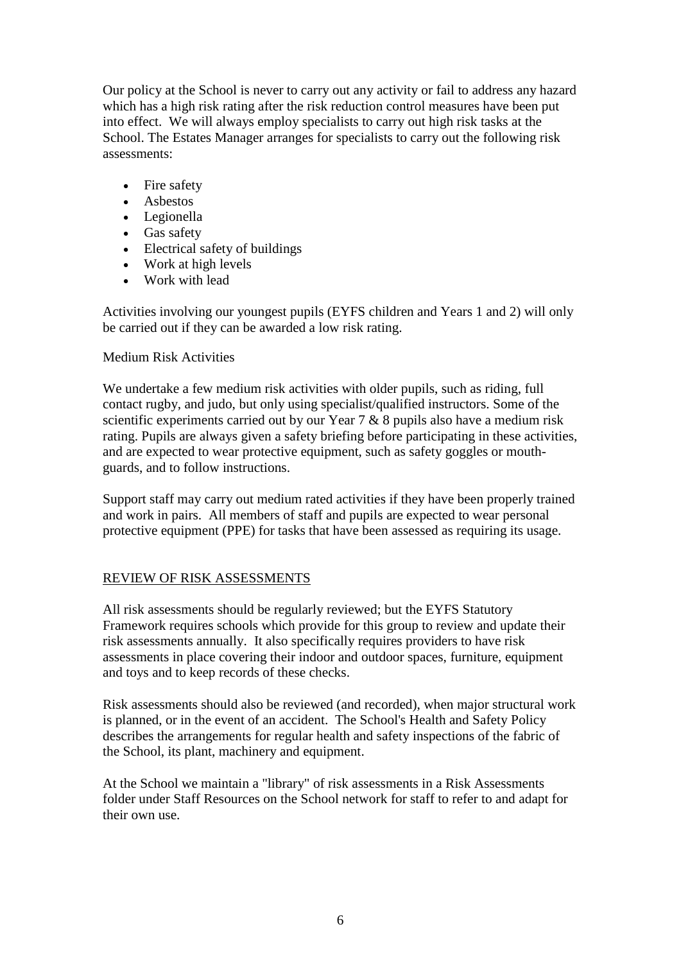Our policy at the School is never to carry out any activity or fail to address any hazard which has a high risk rating after the risk reduction control measures have been put into effect. We will always employ specialists to carry out high risk tasks at the School. The Estates Manager arranges for specialists to carry out the following risk assessments:

- Fire safety
- Asbestos
- Legionella
- Gas safety
- Electrical safety of buildings
- Work at high levels
- Work with lead

Activities involving our youngest pupils (EYFS children and Years 1 and 2) will only be carried out if they can be awarded a low risk rating.

### Medium Risk Activities

We undertake a few medium risk activities with older pupils, such as riding, full contact rugby, and judo, but only using specialist/qualified instructors. Some of the scientific experiments carried out by our Year 7 & 8 pupils also have a medium risk rating. Pupils are always given a safety briefing before participating in these activities, and are expected to wear protective equipment, such as safety goggles or mouthguards, and to follow instructions.

Support staff may carry out medium rated activities if they have been properly trained and work in pairs. All members of staff and pupils are expected to wear personal protective equipment (PPE) for tasks that have been assessed as requiring its usage.

# REVIEW OF RISK ASSESSMENTS

All risk assessments should be regularly reviewed; but the EYFS Statutory Framework requires schools which provide for this group to review and update their risk assessments annually. It also specifically requires providers to have risk assessments in place covering their indoor and outdoor spaces, furniture, equipment and toys and to keep records of these checks.

Risk assessments should also be reviewed (and recorded), when major structural work is planned, or in the event of an accident. The School's Health and Safety Policy describes the arrangements for regular health and safety inspections of the fabric of the School, its plant, machinery and equipment.

At the School we maintain a "library" of risk assessments in a Risk Assessments folder under Staff Resources on the School network for staff to refer to and adapt for their own use.